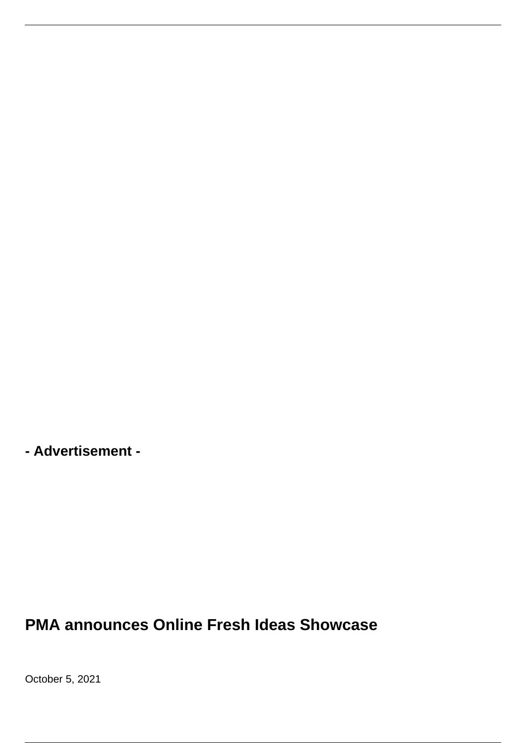

**- Advertisement -**

**PMA announces Online Fresh Ideas Showcase**

October 5, 2021